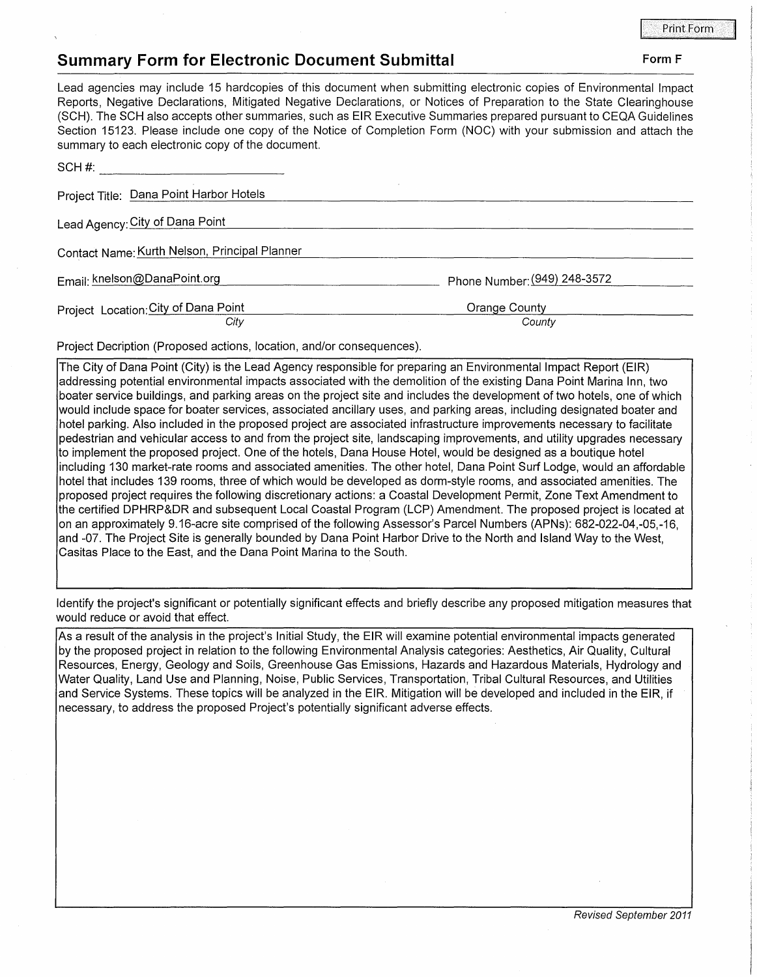## **Summary Form for Electronic Document Submittal Form F Form F Form F**

Lead agencies may include 15 hardcopies of this document when submitting electronic copies of Environmental Impact Reports, Negative Declarations, Mitigated Negative Declarations, or Notices of Preparation to the State Clearinghouse (SCH). The SCH also accepts other summaries, such as EIR Executive Summaries prepared pursuant to CEQA Guidelines Section 15123. Please include one copy of the Notice of Completion Form (NOC) with your submission and attach the summary to each electronic copy of the document.

| SCH#:                                         |                              |
|-----------------------------------------------|------------------------------|
| Project Title: Dana Point Harbor Hotels       |                              |
| Lead Agency: City of Dana Point               |                              |
| Contact Name: Kurth Nelson, Principal Planner |                              |
| Email: knelson@DanaPoint.org                  | Phone Number: (949) 248-3572 |
| Project Location: City of Dana Point<br>City  | Orange County<br>County      |

Project Decription (Proposed actions, location, and/or consequences).

The City of Dana Point (City) is the Lead Agency responsible for preparing an Environmental Impact Report (EIR) addressing potential environmental impacts associated with the demolition of the existing Dana Point Marina Inn, two boater service buildings, and parking areas on the project site and includes the development of two hotels, one of which would include space for boater services, associated ancillary uses, and parking areas, including designated boater and hotel parking. Also included in the proposed project are associated infrastructure improvements necessary to facilitate pedestrian and vehicular access to and from the project site, landscaping improvements, and utility upgrades necessary to implement the proposed project. One of the hotels, Dana House Hotel, would be designed as a boutique hotel including 130 market-rate rooms and associated amenities. The other hotel, Dana Point Surf Lodge, would an affordable hotel that includes 139 rooms, three of which would be developed as dorm-style rooms, and associated amenities. The proposed project requires the following discretionary actions: a Coastal Development Permit, Zone Text Amendment to the certified DPHRP&DR and subsequent Local Coastal Program (LCP) Amendment. The proposed project is located at on an approximately 9.16-acre site comprised of the following Assessor's Parcel Numbers (APNs): 682-022-04,-05,-16, and -07. The Project Site is generally bounded by Dana Point Harbor Drive to the North and Island Way to the West, Casitas Place to the East, and the Dana Point Marina to the South.

Identify the project's significant or potentially significant effects and briefly describe any proposed mitigation measures that would reduce or avoid that effect.

As a result of the analysis in the project's Initial Study, the EIR will examine potential environmental impacts generated by the proposed project in relation to the following Environmental Analysis categories: Aesthetics, Air Quality, Cultural Resources, Energy, Geology and Soils, Greenhouse Gas Emissions, Hazards and Hazardous Materials, Hydrology and Water Quality, Land Use and Planning, Noise, Public Services, Transportation, Tribal Cultural Resources, and Utilities and Service Systems. These topics will be analyzed in the EIR. Mitigation will be developed and included in the EIR, if necessary, to address the proposed Project's potentially significant adverse effects.